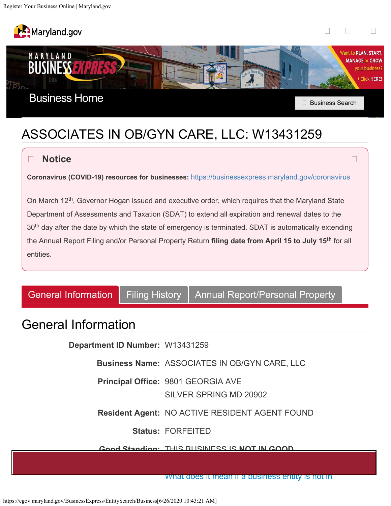<span id="page-0-0"></span>



 $\Box$ 



# ASSOCIATES IN OB/GYN CARE, LLC: W13431259

### **Notice**

**Coronavirus (COVID-19) resources for businesses:** <https://businessexpress.maryland.gov/coronavirus>

On March 12<sup>th</sup>, Governor Hogan issued and executive order, which requires that the Maryland State Department of Assessments and Taxation (SDAT) to extend all expiration and renewal dates to the  $30^{\text{th}}$  day after the date by which the state of emergency is terminated. SDAT is automatically extending the Annual Report Filing and/or Personal Property Return **filing date from April 15 to July 15** for all **th** entities.

[General Information](#page-1-0) | [Filing History](#page-0-0) | [Annual Report/Personal Property](#page-0-0)

## General Information

**Department ID Number:** W13431259

**Business Name:** ASSOCIATES IN OB/GYN CARE, LLC

**Principal Office:** 9801 GEORGIA AVE

SILVER SPRING MD 20902

**Resident Agent:** NO ACTIVE RESIDENT AGENT FOUND

**Status:** FORFEITED

#### **Good Standing:** THIS BUSINESS IS **NOT IN GOOD**

[What does it mean if a business entity is not in](http://dat.maryland.gov/businesses/Documents/entitystatus.pdf)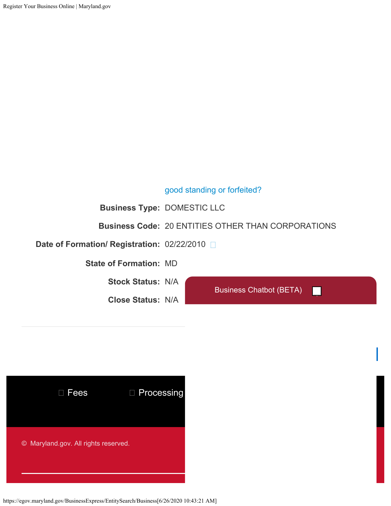#### [good standing or forfeited?](http://dat.maryland.gov/businesses/Documents/entitystatus.pdf)

<span id="page-1-0"></span>**Business Type:** DOMESTIC LLC

**Business Code:** 20 ENTITIES OTHER THAN CORPORATIONS

**Date of Formation/ Registration:** 02/22/2010

**State of Formation:** MD

**Stock Status:** N/A

**Close Status:** N/A

Business Chatbot (BETA)



https://egov.maryland.gov/BusinessExpress/EntitySearch/Business[6/26/2020 10:43:21 AM]